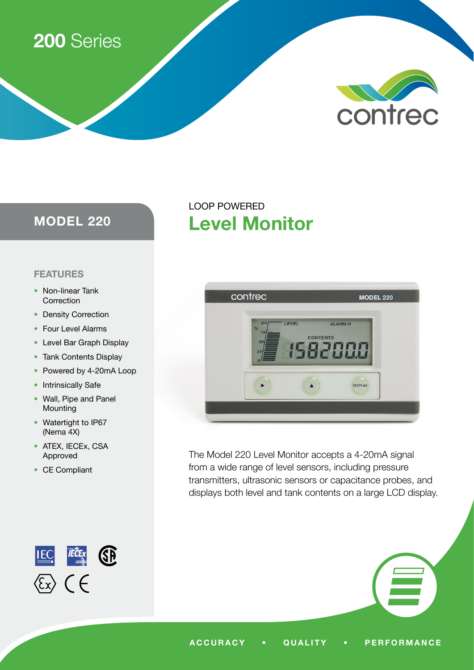# 200 Series



# MODEL 220

## FEATURES

- Non-linear Tank Correction
- Density Correction
- Four Level Alarms
- Level Bar Graph Display
- Tank Contents Display
- Powered by 4-20mA Loop
- Intrinsically Safe
- Wall, Pipe and Panel Mounting
- Watertight to IP67 (Nema 4X)
- ATEX, IECEx, CSA Approved
- CE Compliant



# contrec **MODEL 220** LEVEL **ALARM H CONTENTS** 82000  $\blacktriangleright$ DISPLAY  $\blacktriangle$

Level Monitor

LOOP POWERED

The Model 220 Level Monitor accepts a 4-20mA signal from a wide range of level sensors, including pressure transmitters, ultrasonic sensors or capacitance probes, and displays both level and tank contents on a large LCD display.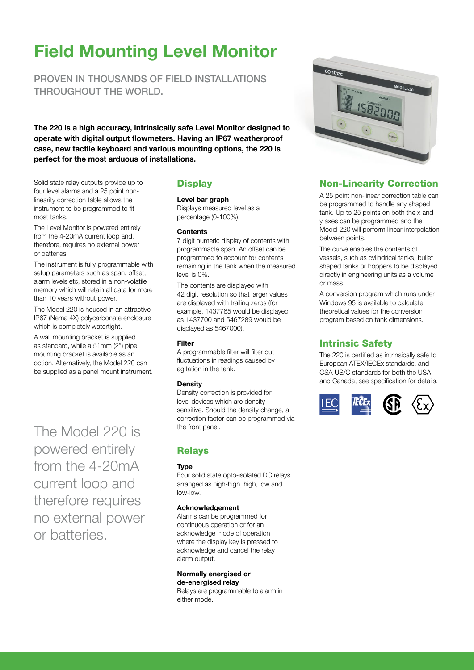# Field Mounting Level Monitor

PROVEN IN THOUSANDS OF FIFLD INSTALLATIONS THROUGHOUT THE WORLD.

The 220 is a high accuracy, intrinsically safe Level Monitor designed to operate with digital output flowmeters. Having an IP67 weatherproof case, new tactile keyboard and various mounting options, the 220 is perfect for the most arduous of installations.

Solid state relay outputs provide up to four level alarms and a 25 point nonlinearity correction table allows the instrument to be programmed to fit most tanks.

The Level Monitor is powered entirely from the 4-20mA current loop and, therefore, requires no external power or batteries.

The instrument is fully programmable with setup parameters such as span, offset, alarm levels etc, stored in a non-volatile memory which will retain all data for more than 10 years without power.

The Model 220 is housed in an attractive IP67 (Nema 4X) polycarbonate enclosure which is completely watertight.

A wall mounting bracket is supplied as standard, while a 51mm (2") pipe mounting bracket is available as an option. Alternatively, the Model 220 can be supplied as a panel mount instrument.

The Model 220 is powered entirely from the 4-20mA current loop and therefore requires no external power or batteries.

# **Display**

#### Level bar graph

Displays measured level as a percentage (0-100%).

#### **Contents**

7 digit numeric display of contents with programmable span. An offset can be programmed to account for contents remaining in the tank when the measured level is 0%.

The contents are displayed with 42 digit resolution so that larger values are displayed with trailing zeros (for example, 1437765 would be displayed as 1437700 and 5467289 would be displayed as 5467000).

#### Filter

A programmable filter will filter out fluctuations in readings caused by agitation in the tank.

#### **Density**

Density correction is provided for level devices which are density sensitive. Should the density change, a correction factor can be programmed via the front panel.

#### Relays

#### **Type**

Four solid state opto-isolated DC relays arranged as high-high, high, low and low-low.

#### Acknowledgement

Alarms can be programmed for continuous operation or for an acknowledge mode of operation where the display key is pressed to acknowledge and cancel the relay alarm output.

#### Normally energised or de-energised relay

Relays are programmable to alarm in either mode.



# Non-Linearity Correction

A 25 point non-linear correction table can be programmed to handle any shaped tank. Up to 25 points on both the x and y axes can be programmed and the Model 220 will perform linear interpolation between points.

The curve enables the contents of vessels, such as cylindrical tanks, bullet shaped tanks or hoppers to be displayed directly in engineering units as a volume or mass.

A conversion program which runs under Windows 95 is available to calculate theoretical values for the conversion program based on tank dimensions.

# Intrinsic Safety

The 220 is certified as intrinsically safe to European ATEX/IECEx standards, and CSA US/C standards for both the USA and Canada, see specification for details.

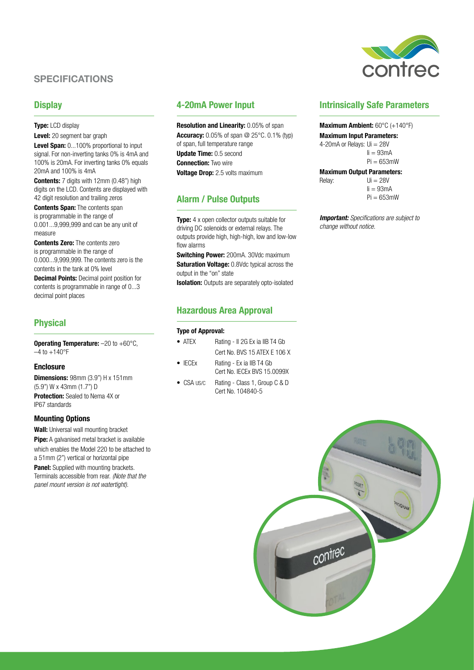# SPECIFICATIONS

#### **Display**

**Type:** LCD display Level: 20 segment bar graph Level Span: 0...100% proportional to input signal. For non-inverting tanks 0% is 4mA and 100% is 20mA. For inverting tanks 0% equals 20mA and 100% is 4mA

**Contents:** 7 digits with 12mm (0.48") high digits on the LCD. Contents are displayed with 42 digit resolution and trailing zeros

**Contents Span: The contents span** is programmable in the range of 0.001...9,999,999 and can be any unit of measure

**Contents Zero:** The contents zero is programmable in the range of 0.000...9,999,999. The contents zero is the contents in the tank at 0% level

**Decimal Points:** Decimal point position for contents is programmable in range of 0...3 decimal point places

## Physical

Operating Temperature: -20 to +60°C,  $-4$  to  $+140$ °F

#### **Enclosure**

**Dimensions: 98mm (3.9") H x 151mm** (5.9") W x 43mm (1.7") D **Protection:** Sealed to Nema 4X or IP67 standards

#### Mounting Options

Wall: Universal wall mounting bracket **Pipe:** A galvanised metal bracket is available which enables the Model 220 to be attached to a 51mm (2") vertical or horizontal pipe

**Panel:** Supplied with mounting brackets. Terminals accessible from rear. *(Note that the panel mount version is not watertight).*

### 4-20mA Power Input

Resolution and Linearity: 0.05% of span **Accuracy:** 0.05% of span @ 25°C. 0.1% (typ) of span, full temperature range Update Time: 0.5 second **Connection: Two wire Voltage Drop:** 2.5 volts maximum

# Alarm / Pulse Outputs

**Type:** 4 x open collector outputs suitable for driving DC solenoids or external relays. The outputs provide high, high-high, low and low-low flow alarms

**Switching Power: 200mA, 30Vdc maximum** Saturation Voltage: 0.8Vdc typical across the output in the "on" state

**Isolation:** Outputs are separately opto-isolated

# Hazardous Area Approval

#### Type of Approval:

- ATEX Rating II 2G Ex ia IIB T4 Gb Cert No. BVS 15 ATEX E 106 X
- IECEx Rating Ex ia IIB T4 Gb Cert No. IECEx BVS 15.0099X
- CSA US/C Rating Class 1, Group C & D Cert No. 104840-5



## Intrinsically Safe Parameters

#### Maximum Ambient: 60°C (+140°F)

Maximum Input Parameters: 4-20mA or Relays: Ui = 28V  $I = 93mA$  $Pi = 653$ mW

#### Maximum Output Parameters:

 $Relav:$   $Ui = 28V$  $I = 93mA$  $Pi = 653$ mW

*Important: Specifications are subject to change without notice.*